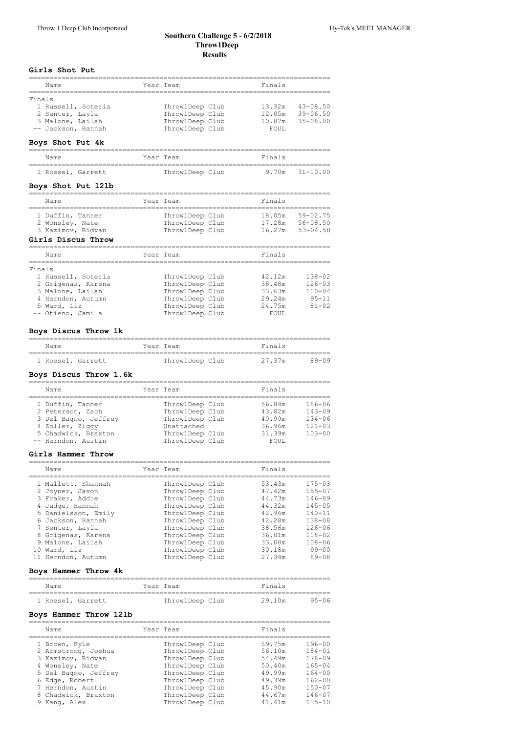#### **Southern Challenge 5 ‑ 6/2/2018 Throw1Deep Results**

## **Girls Shot Put**

| Name                                                                                      | Year Team |                                                                          | Finals                              |                                              |
|-------------------------------------------------------------------------------------------|-----------|--------------------------------------------------------------------------|-------------------------------------|----------------------------------------------|
| Finals<br>1 Russell, Soteria<br>2 Senter, Layla<br>3 Malone, Lailah<br>-- Jackson, Hannah |           | ThrowlDeep Club<br>ThrowlDeep Club<br>ThrowlDeep Club<br>ThrowlDeep Club | 13.32m<br>12.05m<br>10.87m<br>FOUL. | $43 - 08.50$<br>$39 - 06.50$<br>$35 - 08.00$ |

## **Boys Shot Put 4k**

| Name              | Year Team       | Finals             |
|-------------------|-----------------|--------------------|
| 1 Roesel, Garrett | ThrowlDeep Club | $9.70m$ $31-10.00$ |

## **Boys Shot Put 12lb**

|        | Name                                                                           | Year Team |                                                       | Finals                     |                                              |
|--------|--------------------------------------------------------------------------------|-----------|-------------------------------------------------------|----------------------------|----------------------------------------------|
|        | 1 Duffin, Tanner<br>2 Wonsley, Nate<br>3 Kazimov, Ridvan<br>Girls Discus Throw |           | ThrowlDeep Club<br>ThrowlDeep Club<br>ThrowlDeep Club | 18.05m<br>17.28m<br>16.27m | $59 - 02.75$<br>$56 - 08.50$<br>$53 - 04.50$ |
|        | Name                                                                           |           | Year Team                                             | Finals                     |                                              |
| Finals |                                                                                |           |                                                       |                            |                                              |
|        |                                                                                |           |                                                       |                            |                                              |
|        | 1 Russell, Soteria                                                             |           | ThrowlDeep Club                                       | 42.12m                     | $138 - 02$                                   |
|        | 2 Grigenas, Karena                                                             |           | ThrowlDeep Club                                       | 38.48m                     | $126 - 03$                                   |
|        | 3 Malone, Lailah                                                               |           | ThrowlDeep Club                                       | 33.63m                     | $110 - 04$                                   |
|        | 4 Herndon, Autumn                                                              |           | ThrowlDeep Club                                       | 29.24m                     | $95 - 11$                                    |
|        | 5 Ward. Liz                                                                    |           | ThrowlDeep Club                                       | 24.75m                     | $81 - 02$                                    |

## **Boys Discus Throw 1k**

| Name              |  | Year Team       | Finals |       |
|-------------------|--|-----------------|--------|-------|
| 1 Roesel, Garrett |  | ThrowlDeep Club | 27.37m | 89-09 |

## **Boys Discus Throw 1.6k**

| Name                 | Year Team       | Finals |            |
|----------------------|-----------------|--------|------------|
| 1 Duffin, Tanner     | ThrowlDeep Club | 56.84m | 186-06     |
| 2 Peterson, Zach     | Throw1Deep Club | 43.82m | $143 - 09$ |
| 3 Del Bagno, Jeffrey | Throw1Deep Club | 40.99m | $134 - 06$ |
| 4 Zoller, Ziggy      | Unattached      | 36.96m | $121 - 03$ |
| 5 Chadwick, Braxton  | ThrowlDeep Club | 31.39m | $103 - 00$ |
| -- Herndon, Austin   | ThrowlDeep Club | FOUL.  |            |

#### **Girls Hammer Throw**

| 1 Mallett, Shannah<br>ThrowlDeep Club<br>53.43m<br>ThrowlDeep Club<br>47.42m<br>2 Joyner, Javon<br>3 Fraker, Addie<br>44.73m<br>ThrowlDeep Club<br>ThrowlDeep Club<br>4 Judge, Hannah<br>44.32m<br>5 Danielsson, Emily<br>42.96m<br>ThrowlDeep Club<br>ThrowlDeep Club<br>42.28m<br>6 Jackson, Hannah<br>ThrowlDeep Club<br>38.56m<br>7 Senter, Layla<br>8 Grigenas, Karena<br>ThrowlDeep Club<br>36.01m<br>9 Malone, Lailah<br>ThrowlDeep Club<br>33.08m<br>10 Ward, Liz<br>ThrowlDeep Club<br>30.18m<br>27.34m<br>11 Herndon, Autumn<br>Throw1Deep Club | $175 - 03$<br>$155 - 07$<br>$146 - 09$<br>$145 - 05$<br>$140 - 11$<br>$138 - 08$<br>$126 - 06$<br>$118 - 02$<br>$108 - 06$<br>$99 - 00$<br>$89 - 08$ |
|-----------------------------------------------------------------------------------------------------------------------------------------------------------------------------------------------------------------------------------------------------------------------------------------------------------------------------------------------------------------------------------------------------------------------------------------------------------------------------------------------------------------------------------------------------------|------------------------------------------------------------------------------------------------------------------------------------------------------|

## **Boys Hammer Throw 4k**

| Name              |  | Year Team       |  | Finals |       |  |  |
|-------------------|--|-----------------|--|--------|-------|--|--|
| 1 Roesel, Garrett |  | ThrowlDeep Club |  | 29.10m | 95-06 |  |  |

## **Boys Hammer Throw 12lb**

| Name                 | Year Team       | Finals |            |
|----------------------|-----------------|--------|------------|
| 1 Brown, Kyle        | ThrowlDeep Club | 59.75m | $196 - 00$ |
| 2 Armstrong, Joshua  | ThrowlDeep Club | 56.10m | $184 - 01$ |
| 3 Kazimov, Ridvan    | ThrowlDeep Club | 54.49m | $178 - 09$ |
| 4 Wonsley, Nate      | ThrowlDeep Club | 50.40m | $165 - 04$ |
| 5 Del Bagno, Jeffrey | ThrowlDeep Club | 49.99m | $164 - 00$ |
| 6 Edge, Robert       | ThrowlDeep Club | 49.39m | $162 - 00$ |
| 7 Herndon, Austin    | ThrowlDeep Club | 45.90m | $150 - 07$ |
| 8 Chadwick, Braxton  | ThrowlDeep Club | 44.67m | $146 - 07$ |
| 9 Kanq, Alex         | ThrowlDeep Club | 41.41m | $135 - 10$ |